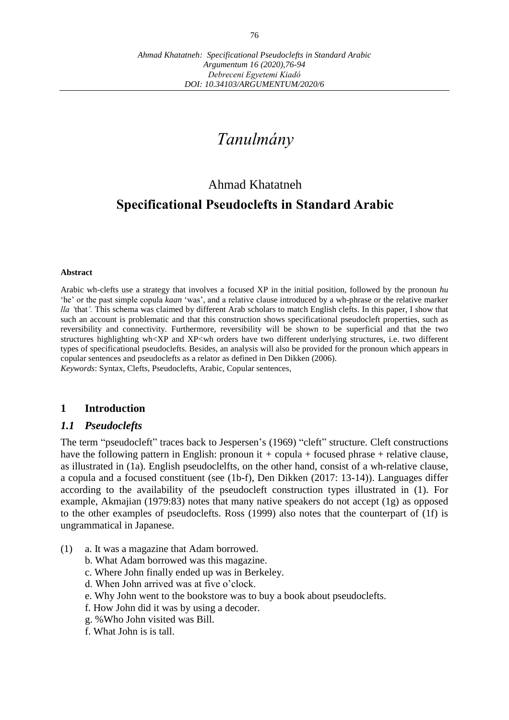# *Tanulmány*

## Ahmad Khatatneh

## **Specificational Pseudoclefts in Standard Arabic**

#### **Abstract**

Arabic wh-clefts use a strategy that involves a focused XP in the initial position, followed by the pronoun *hu*  'he' or the past simple copula *kaan* 'was', and a relative clause introduced by a wh-phrase or the relative marker *lla '*that*'.* This schema was claimed by different Arab scholars to match English clefts. In this paper, I show that such an account is problematic and that this construction shows specificational pseudocleft properties, such as reversibility and connectivity. Furthermore, reversibility will be shown to be superficial and that the two structures highlighting wh<XP and XP<wh orders have two different underlying structures, i.e. two different types of specificational pseudoclefts. Besides, an analysis will also be provided for the pronoun which appears in copular sentences and pseudoclefts as a relator as defined in Den Dikken (2006).

*Keywords*: Syntax, Clefts, Pseudoclefts, Arabic, Copular sentences,

#### **1 Introduction**

#### *1.1 Pseudoclefts*

The term "pseudocleft" traces back to Jespersen's (1969) "cleft" structure. Cleft constructions have the following pattern in English: pronoun it *+* copula + focused phrase + relative clause*,* as illustrated in (1a). English pseudoclelfts, on the other hand, consist of a wh-relative clause, a copula and a focused constituent (see (1b-f), Den Dikken (2017: 13-14)). Languages differ according to the availability of the pseudocleft construction types illustrated in (1). For example, Akmajian (1979:83) notes that many native speakers do not accept  $(1g)$  as opposed to the other examples of pseudoclefts. Ross (1999) also notes that the counterpart of (1f) is ungrammatical in Japanese.

- (1) a. It was a magazine that Adam borrowed.
	- b. What Adam borrowed was this magazine.
	- c. Where John finally ended up was in Berkeley.
	- d. When John arrived was at five o'clock.
	- e. Why John went to the bookstore was to buy a book about pseudoclefts.
	- f. How John did it was by using a decoder.
	- g. %Who John visited was Bill.
	- f. What John is is tall.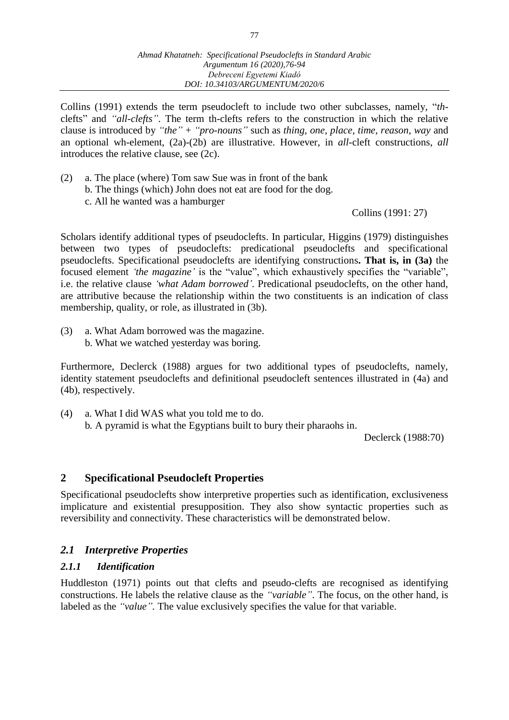Collins (1991) extends the term pseudocleft to include two other subclasses, namely, "*th*clefts" and *"all-clefts"*. The term th-clefts refers to the construction in which the relative clause is introduced by *"the"* + *"pro-nouns"* such as *thing, one, place, time, reason, way* and an optional wh-element, (2a)-(2b) are illustrative. However, in *all*-cleft constructions, *all* introduces the relative clause, see (2c).

(2) a. The place (where) Tom saw Sue was in front of the bank b. The things (which) John does not eat are food for the dog. c. All he wanted was a hamburger

Collins (1991: 27)

Scholars identify additional types of pseudoclefts. In particular, Higgins (1979) distinguishes between two types of pseudoclefts: predicational pseudoclefts and specificational pseudoclefts. Specificational pseudoclefts are identifying constructions**. That is, in (3a)** the focused element *'the magazine'* is the "value", which exhaustively specifies the "variable", i.e. the relative clause *'what Adam borrowed'*. Predicational pseudoclefts, on the other hand, are attributive because the relationship within the two constituents is an indication of class membership, quality, or role, as illustrated in (3b).

(3) a. What Adam borrowed was the magazine. b. What we watched yesterday was boring.

Furthermore, Declerck (1988) argues for two additional types of pseudoclefts, namely, identity statement pseudoclefts and definitional pseudocleft sentences illustrated in (4a) and (4b), respectively.

(4) a. What I did WAS what you told me to do. b*.* A pyramid is what the Egyptians built to bury their pharaohs in.

Declerck (1988:70)

## **2 Specificational Pseudocleft Properties**

Specificational pseudoclefts show interpretive properties such as identification, exclusiveness implicature and existential presupposition. They also show syntactic properties such as reversibility and connectivity. These characteristics will be demonstrated below.

#### *2.1 Interpretive Properties*

#### *2.1.1 Identification*

Huddleston (1971) points out that clefts and pseudo-clefts are recognised as identifying constructions. He labels the relative clause as the *"variable"*. The focus, on the other hand, is labeled as the *"value".* The value exclusively specifies the value for that variable.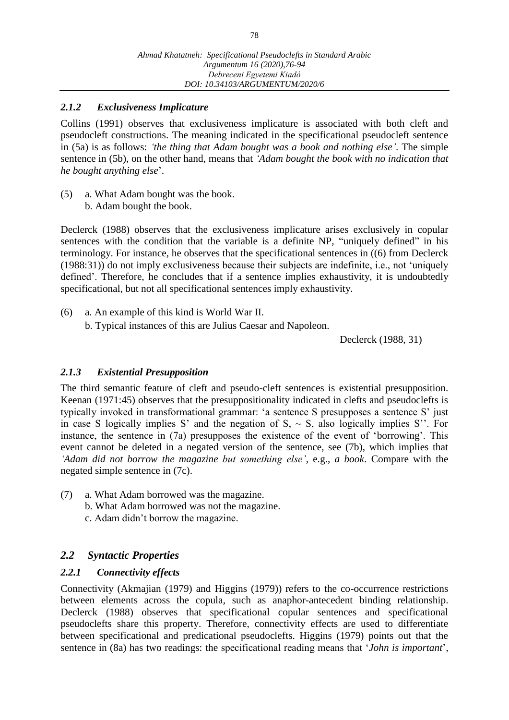## *2.1.2 Exclusiveness Implicature*

Collins (1991) observes that exclusiveness implicature is associated with both cleft and pseudocleft constructions. The meaning indicated in the specificational pseudocleft sentence in (5a) is as follows: *'the thing that Adam bought was a book and nothing else'*. The simple sentence in (5b), on the other hand, means that *'Adam bought the book with no indication that he bought anything else*'.

(5) a. What Adam bought was the book. b. Adam bought the book.

Declerck (1988) observes that the exclusiveness implicature arises exclusively in copular sentences with the condition that the variable is a definite NP, "uniquely defined" in his terminology. For instance, he observes that the specificational sentences in ((6) from Declerck (1988:31)) do not imply exclusiveness because their subjects are indefinite, i.e., not 'uniquely defined'. Therefore, he concludes that if a sentence implies exhaustivity, it is undoubtedly specificational, but not all specificational sentences imply exhaustivity.

(6) a. An example of this kind is World War II. b. Typical instances of this are Julius Caesar and Napoleon.

Declerck (1988, 31)

#### *2.1.3 Existential Presupposition*

The third semantic feature of cleft and pseudo-cleft sentences is existential presupposition. Keenan (1971:45) observes that the presuppositionality indicated in clefts and pseudoclefts is typically invoked in transformational grammar: 'a sentence S presupposes a sentence S' just in case S logically implies S' and the negation of  $S_1 \sim S$ , also logically implies S''. For instance, the sentence in (7a) presupposes the existence of the event of 'borrowing'. This event cannot be deleted in a negated version of the sentence, see (7b), which implies that *'Adam did not borrow the magazine but something else'*, e.g., *a book*. Compare with the negated simple sentence in (7c).

(7) a. What Adam borrowed was the magazine. b. What Adam borrowed was not the magazine. c. Adam didn't borrow the magazine.

#### *2.2 Syntactic Properties*

#### *2.2.1 Connectivity effects*

Connectivity (Akmajian (1979) and Higgins (1979)) refers to the co-occurrence restrictions between elements across the copula, such as anaphor-antecedent binding relationship. Declerck (1988) observes that specificational copular sentences and specificational pseudoclefts share this property. Therefore, connectivity effects are used to differentiate between specificational and predicational pseudoclefts. Higgins (1979) points out that the sentence in (8a) has two readings: the specificational reading means that '*John is important*',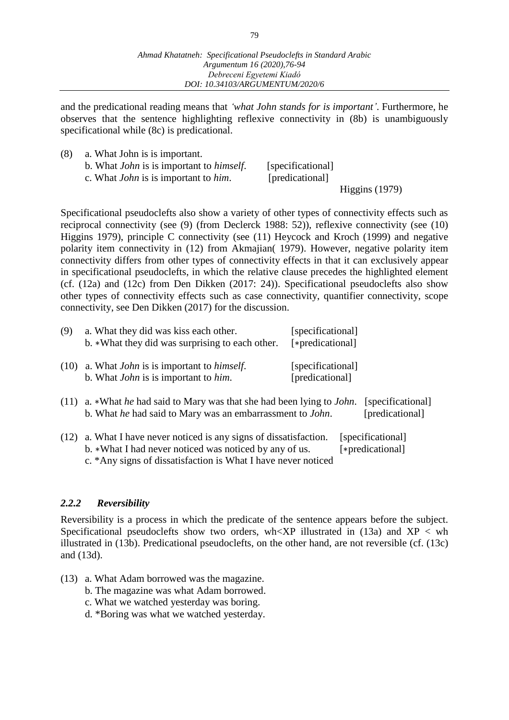79

and the predicational reading means that *'what John stands for is important'*. Furthermore, he observes that the sentence highlighting reflexive connectivity in (8b) is unambiguously specificational while (8c) is predicational.

| (8) | a. What John is is important.                           |                   |  |
|-----|---------------------------------------------------------|-------------------|--|
|     | b. What <i>John</i> is is important to <i>himself</i> . | [specificational] |  |
|     | c. What <i>John</i> is is important to <i>him</i> .     | [predicational]   |  |

Higgins (1979)

Specificational pseudoclefts also show a variety of other types of connectivity effects such as reciprocal connectivity (see (9) (from Declerck 1988: 52)), reflexive connectivity (see (10) Higgins 1979), principle C connectivity (see (11) Heycock and Kroch (1999) and negative polarity item connectivity in (12) from Akmajian( 1979). However, negative polarity item connectivity differs from other types of connectivity effects in that it can exclusively appear in specificational pseudoclefts, in which the relative clause precedes the highlighted element (cf. (12a) and (12c) from Den Dikken (2017: 24)). Specificational pseudoclefts also show other types of connectivity effects such as case connectivity, quantifier connectivity, scope connectivity, see Den Dikken (2017) for the discussion.

| (9)  | a. What they did was kiss each other.<br>b. *What they did was surprising to each other.               | [specificational]<br>[*predicational] |
|------|--------------------------------------------------------------------------------------------------------|---------------------------------------|
| (10) | a. What <i>John</i> is is important to <i>himself</i> .<br>b. What <i>John</i> is is important to him. | [specificational]<br>[predicational]  |

- (11) a. ∗What *he* had said to Mary was that she had been lying to *John*. [specificational] b. What *he* had said to Mary was an embarrassment to *John*. [predicational]
- (12) a. What I have never noticed is any signs of dissatisfaction. [specificational] b. \*What I had never noticed was noticed by any of us. [\*predicational] c. \*Any signs of dissatisfaction is What I have never noticed

#### *2.2.2 Reversibility*

Reversibility is a process in which the predicate of the sentence appears before the subject. Specificational pseudoclefts show two orders, wh<XP illustrated in (13a) and  $XP < wh$ illustrated in (13b). Predicational pseudoclefts, on the other hand, are not reversible (cf. (13c) and (13d).

- (13) a. What Adam borrowed was the magazine.
	- b. The magazine was what Adam borrowed.
	- c. What we watched yesterday was boring.
	- d. \*Boring was what we watched yesterday.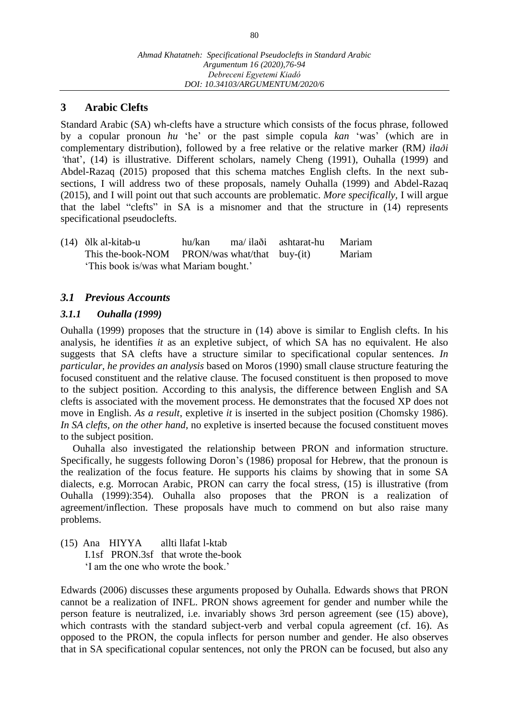#### **3 Arabic Clefts**

Standard Arabic (SA) wh-clefts have a structure which consists of the focus phrase, followed by a copular pronoun *hu* 'he' or the past simple copula *kan* 'was' (which are in complementary distribution), followed by a free relative or the relative marker (RM*) il[aði](https://en.wikipedia.org/wiki/Voiced_dental_fricative) '*that', (14) is illustrative. Different scholars, namely Cheng (1991), Ouhalla (1999) and Abdel-Razaq (2015) proposed that this schema matches English clefts. In the next subsections, I will address two of these proposals, namely Ouhalla (1999) and Abdel-Razaq (2015), and I will point out that such accounts are problematic. *More specifically,* I will argue that the label "clefts" in SA is a misnomer and that the structure in (14) represents specificational pseudoclefts.

(14) [ðl](https://en.wikipedia.org/wiki/Voiced_dental_fricative)k al-kitab-u hu/kan ma/ il[aði](https://en.wikipedia.org/wiki/Voiced_dental_fricative) ashtarat-hu Mariam This the-book-NOM PRON/was what/that buy-(it) Mariam 'This book is/was what Mariam bought.'

## *3.1 Previous Accounts*

#### *3.1.1 Ouhalla (1999)*

Ouhalla (1999) proposes that the structure in (14) above is similar to English clefts. In his analysis, he identifies *it* as an expletive subject, of which SA has no equivalent. He also suggests that SA clefts have a structure similar to specificational copular sentences. *In particular, he provides an analysis* based on Moros (1990) small clause structure featuring the focused constituent and the relative clause. The focused constituent is then proposed to move to the subject position. According to this analysis, the difference between English and SA clefts is associated with the movement process. He demonstrates that the focused XP does not move in English. *As a result*, expletive *it* is inserted in the subject position (Chomsky 1986). *In SA clefts, on the other hand,* no expletive is inserted because the focused constituent moves to the subject position.

Ouhalla also investigated the relationship between PRON and information structure. Specifically, he suggests following Doron's (1986) proposal for Hebrew, that the pronoun is the realization of the focus feature. He supports his claims by showing that in some SA dialects, e.g. Morrocan Arabic, PRON can carry the focal stress, (15) is illustrative (from Ouhalla (1999):354). Ouhalla also proposes that the PRON is a realization of agreement/inflection. These proposals have much to commend on but also raise many problems.

(15) Ana HIYYA allti llafat l-ktab I.1sf PRON.3sf that wrote the-book 'I am the one who wrote the book.'

Edwards (2006) discusses these arguments proposed by Ouhalla. Edwards shows that PRON cannot be a realization of INFL. PRON shows agreement for gender and number while the person feature is neutralized, i.e. invariably shows 3rd person agreement (see (15) above), which contrasts with the standard subject-verb and verbal copula agreement (cf. 16). As opposed to the PRON, the copula inflects for person number and gender. He also observes that in SA specificational copular sentences, not only the PRON can be focused, but also any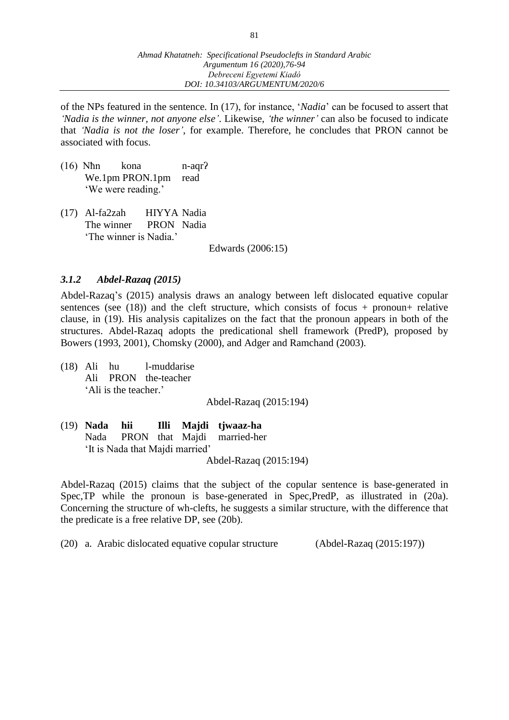of the NPs featured in the sentence. In (17), for instance, '*Nadia*' can be focused to assert that *'Nadia is the winner, not anyone else'*. Likewise, *'the winner'* can also be focused to indicate that *'Nadia is not the loser'*, for example. Therefore, he concludes that PRON cannot be associated with focus.

- (16) Nħn kona n-aqrʔ We.1pm PRON.1pm read 'We were reading.'
- (17) Al-fa2zah HIYYA Nadia The winner PRON Nadia 'The winner is Nadia.'

Edwards (2006:15)

## *3.1.2 Abdel-Razaq (2015)*

Abdel-Razaq's (2015) analysis draws an analogy between left dislocated equative copular sentences (see  $(18)$ ) and the cleft structure, which consists of focus + pronoun+ relative clause, in (19). His analysis capitalizes on the fact that the pronoun appears in both of the structures. Abdel-Razaq adopts the predicational shell framework (PredP), proposed by Bowers (1993, 2001), Chomsky (2000), and Adger and Ramchand (2003).

(18) Ali hu l-muddarise Ali PRON the-teacher 'Ali is the teacher.'

Abdel-Razaq (2015:194)

(19) **Nada hii Illi Majdi tjwaaz-ha** Nada PRON that Majdi married-her 'It is Nada that Majdi married' Abdel-Razaq (2015:194)

Abdel-Razaq (2015) claims that the subject of the copular sentence is base-generated in Spec,TP while the pronoun is base-generated in Spec,PredP, as illustrated in (20a). Concerning the structure of wh-clefts, he suggests a similar structure, with the difference that the predicate is a free relative DP, see (20b).

(20) a. Arabic dislocated equative copular structure (Abdel-Razaq (2015:197))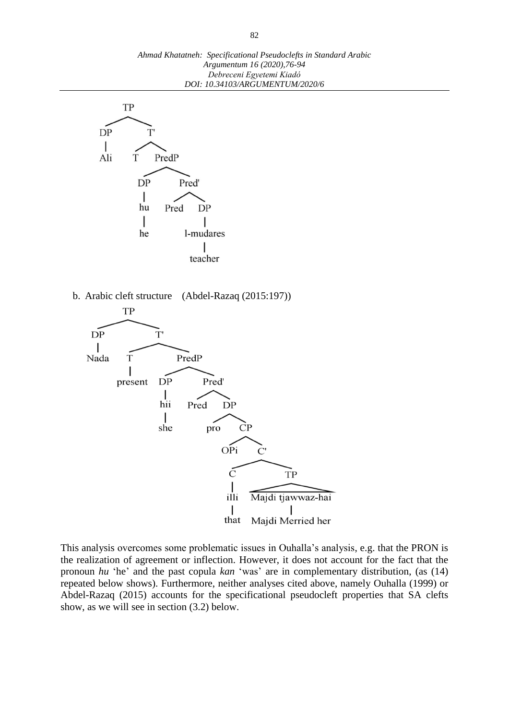

b. Arabic cleft structure (Abdel-Razaq (2015:197))



This analysis overcomes some problematic issues in Ouhalla's analysis, e.g. that the PRON is the realization of agreement or inflection. However, it does not account for the fact that the pronoun *hu* 'he' and the past copula *kan* 'was' are in complementary distribution, (as (14) repeated below shows). Furthermore, neither analyses cited above, namely Ouhalla (1999) or Abdel-Razaq (2015) accounts for the specificational pseudocleft properties that SA clefts show, as we will see in section (3.2) below.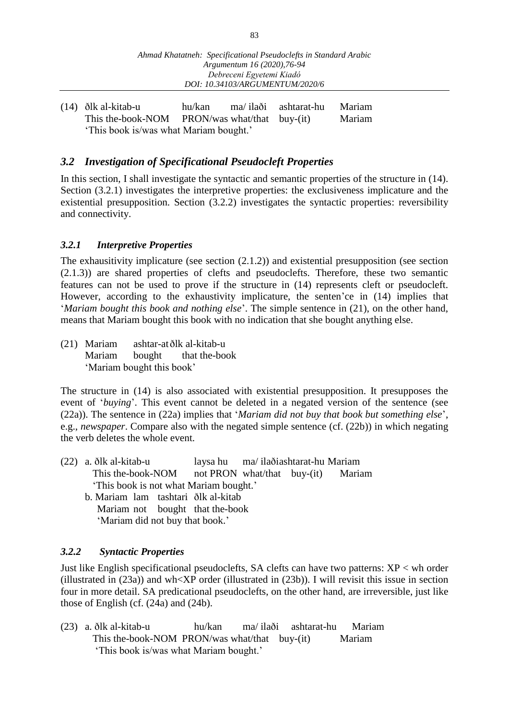(14) [ðl](https://en.wikipedia.org/wiki/Voiced_dental_fricative)k al-kitab-u hu/kan ma/ il[aði](https://en.wikipedia.org/wiki/Voiced_dental_fricative) ashtarat-hu Mariam This the-book-NOM PRON/was what/that buy-(it) Mariam 'This book is/was what Mariam bought.'

## *3.2 Investigation of Specificational Pseudocleft Properties*

In this section, I shall investigate the syntactic and semantic properties of the structure in (14). Section  $(3.2.1)$  investigates the interpretive properties: the exclusiveness implicature and the existential presupposition. Section (3.2.2) investigates the syntactic properties: reversibility and connectivity.

#### *3.2.1 Interpretive Properties*

The exhausitivity implicature (see section (2.1.2)) and existential presupposition (see section (2.1.3)) are shared properties of clefts and pseudoclefts. Therefore, these two semantic features can not be used to prove if the structure in (14) represents cleft or pseudocleft. However, according to the exhaustivity implicature, the senten'ce in (14) implies that '*Mariam bought this book and nothing else*'. The simple sentence in (21), on the other hand, means that Mariam bought this book with no indication that she bought anything else.

(21) Mariam ashtar-a[tðl](https://en.wikipedia.org/wiki/Voiced_dental_fricative)k al-kitab-u Mariam bought that the-book 'Mariam bought this book'

The structure in (14) is also associated with existential presupposition. It presupposes the event of '*buying*'. This event cannot be deleted in a negated version of the sentence (see (22a)). The sentence in (22a) implies that '*Mariam did not buy that book but something else*', e.g., *newspaper*. Compare also with the negated simple sentence (cf. (22b)) in which negating the verb deletes the whole event.

- (22) a. [ðl](https://en.wikipedia.org/wiki/Voiced_dental_fricative)k al-kitab-u laysa hu ma/ il[aði](https://en.wikipedia.org/wiki/Voiced_dental_fricative)ashtarat-hu Mariam This the-book-NOM not PRON what/that buy-(it) Mariam 'This book is not what Mariam bought.'
	- b. Mariam lam tashtari [ðl](https://en.wikipedia.org/wiki/Voiced_dental_fricative)k al-kitab Mariam not bought that the-book 'Mariam did not buy that book.'

#### *3.2.2 Syntactic Properties*

Just like English specificational pseudoclefts, SA clefts can have two patterns:  $XP <$  wh order (illustrated in (23a)) and wh<XP order (illustrated in (23b)). I will revisit this issue in section four in more detail. SA predicational pseudoclefts, on the other hand, are irreversible, just like those of English (cf. (24a) and (24b).

(23) a. [ðl](https://en.wikipedia.org/wiki/Voiced_dental_fricative)k al-kitab-u hu/kan ma/ il[aði](https://en.wikipedia.org/wiki/Voiced_dental_fricative) ashtarat-hu Mariam This the-book-NOM PRON/was what/that buy-(it) Mariam 'This book is/was what Mariam bought.'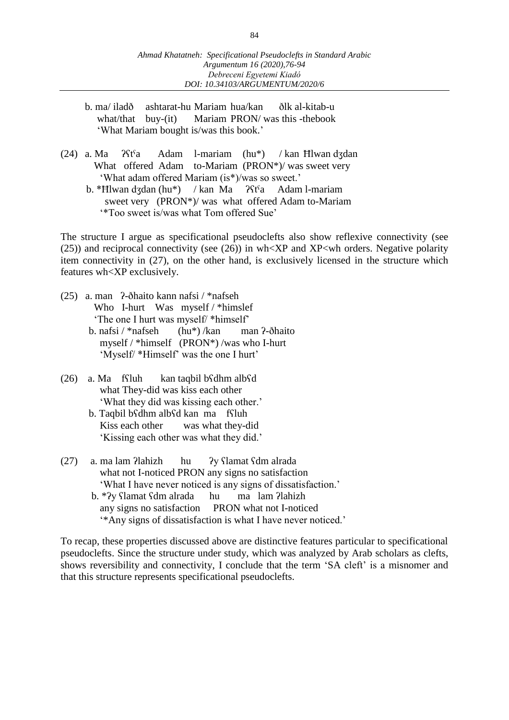- b. ma/ ila[dð](https://en.wikipedia.org/wiki/Voiced_dental_fricative) ashtarat-hu Mariam hua/kan [ðl](https://en.wikipedia.org/wiki/Voiced_dental_fricative)k al-kitab-u what/that buy-(it) Mariam PRON/ was this -thebook 'What Mariam bought is/was this book.'
- (24) a. Ma  $\vartheta$ f $a$  Adam l-mariam (hu\*) / kan Hlwan dʒdan What offered Adam to-Mariam (PRON\*)/ was sweet very 'What adam offered Mariam (is\*)/was so sweet.'
	- b. \*Hlwan dʒdan (hu\*) / kan Ma *ʔ*stˤa Adam l-mariam sweet very (PRON\*)/ was what offered Adam to-Mariam '\*Too sweet is/was what Tom offered Sue'

The structure I argue as specificational pseudoclefts also show reflexive connectivity (see (25)) and reciprocal connectivity (see (26)) in wh<XP and XP<wh orders. Negative polarity item connectivity in (27), on the other hand, is exclusively licensed in the structure which features wh<XP exclusively.

- (25) a. man ʔ-ðhaito kann nafsi / \*nafseh Who I-hurt Was myself / \*himslef 'The one I hurt was myself/ \*himself' b. nafsi / \*nafseh (hu\*) /kan man ʔ-ðhaito myself / \*himself (PRON\*) /was who I-hurt
	- 'Myself/ \*Himself' was the one I hurt'
- (26) a. Ma fʕluh kan taqbil bʕdhm albʕd what They-did was kiss each other 'What they did was kissing each other.'
	- b. Taqbil bʕdhm albʕd kan ma fʕluh Kiss each other was what they-did 'Kissing each other was what they did.'
- (27) a. ma lam ʔlahizh hu ʔy ʕlamat ʕdm alrada what not I-noticed PRON any signs no satisfaction 'What I have never noticed is any signs of dissatisfaction.' b. \*ʔy ʕlamat ʕdm alrada hu ma lam ʔlahizh
	- any signs no satisfaction PRON what not I-noticed '\*Any signs of dissatisfaction is what I have never noticed.'

To recap, these properties discussed above are distinctive features particular to specificational pseudoclefts. Since the structure under study, which was analyzed by Arab scholars as clefts, shows reversibility and connectivity, I conclude that the term 'SA cleft' is a misnomer and that this structure represents specificational pseudoclefts.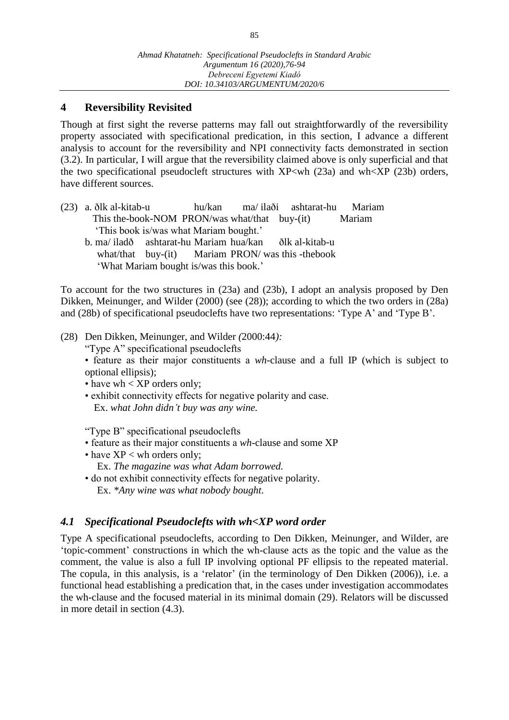## **4 Reversibility Revisited**

Though at first sight the reverse patterns may fall out straightforwardly of the reversibility property associated with specificational predication, in this section, I advance a different analysis to account for the reversibility and NPI connectivity facts demonstrated in section (3.2). In particular, I will argue that the reversibility claimed above is only superficial and that the two specificational pseudocleft structures with  $XP<$ wh (23a) and wh $XP$  (23b) orders, have different sources.

(23) a. [ðl](https://en.wikipedia.org/wiki/Voiced_dental_fricative)k al-kitab-u hu/kan ma/ il[aði](https://en.wikipedia.org/wiki/Voiced_dental_fricative) ashtarat-hu Mariam This the-book-NOM PRON/was what/that buy-(it) Mariam 'This book is/was what Mariam bought.' b. ma/ ila[dð](https://en.wikipedia.org/wiki/Voiced_dental_fricative) ashtarat-hu Mariam hua/kan [ðl](https://en.wikipedia.org/wiki/Voiced_dental_fricative)k al-kitab-u what/that buy-(it) Mariam PRON/ was this -thebook 'What Mariam bought is/was this book.'

To account for the two structures in (23a) and (23b), I adopt an analysis proposed by Den Dikken, Meinunger, and Wilder (2000) (see (28)); according to which the two orders in (28a) and (28b) of specificational pseudoclefts have two representations: 'Type A' and 'Type B'.

#### (28) Den Dikken, Meinunger, and Wilder *(*2000:44*):*

"Type A" specificational pseudoclefts

• feature as their major constituents a *wh*-clause and a full IP (which is subject to optional ellipsis);

• have wh  $\langle$  XP orders only;

• exhibit connectivity effects for negative polarity and case. Ex. *what John didn't buy was any wine.*

"Type B" specificational pseudoclefts

- feature as their major constituents a *wh*-clause and some XP
- have XP < wh orders only; Ex. *The magazine was what Adam borrowed.*
- do not exhibit connectivity effects for negative polarity. Ex. *\*Any wine was what nobody bought.*

#### *4.1 Specificational Pseudoclefts with wh<XP word order*

Type A specificational pseudoclefts, according to Den Dikken, Meinunger, and Wilder, are 'topic-comment' constructions in which the wh-clause acts as the topic and the value as the comment, the value is also a full IP involving optional PF ellipsis to the repeated material. The copula, in this analysis, is a 'relator' (in the terminology of Den Dikken (2006)), i.e. a functional head establishing a predication that, in the cases under investigation accommodates the wh-clause and the focused material in its minimal domain (29). Relators will be discussed in more detail in section (4.3).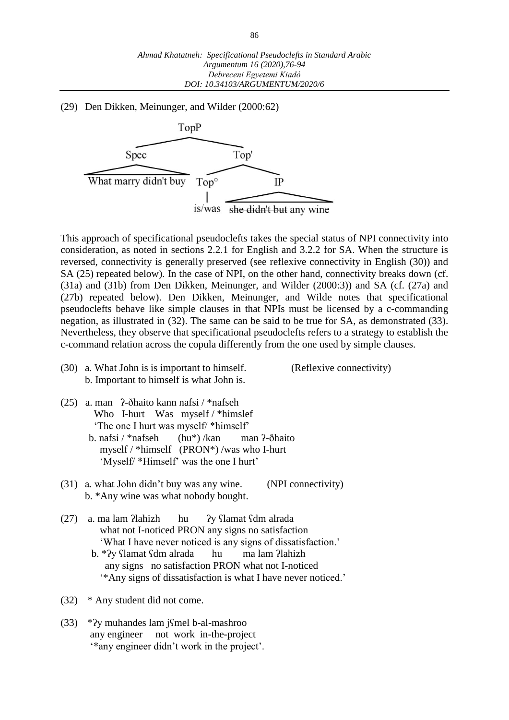(29) Den Dikken, Meinunger, and Wilder (2000:62)



This approach of specificational pseudoclefts takes the special status of NPI connectivity into consideration, as noted in sections 2.2.1 for English and 3.2.2 for SA. When the structure is reversed, connectivity is generally preserved (see reflexive connectivity in English (30)) and SA (25) repeated below). In the case of NPI, on the other hand, connectivity breaks down (cf. (31a) and (31b) from Den Dikken, Meinunger, and Wilder (2000:3)) and SA (cf. (27a) and (27b) repeated below). Den Dikken, Meinunger, and Wilde notes that specificational pseudoclefts behave like simple clauses in that NPIs must be licensed by a c-commanding negation, as illustrated in (32). The same can be said to be true for SA, as demonstrated (33). Nevertheless, they observe that specificational pseudoclefts refers to a strategy to establish the c-command relation across the copula differently from the one used by simple clauses.

(30) a. What John is is important to himself. (Reflexive connectivity) b. Important to himself is what John is.

- (25) a. man ʔ-ðhaito kann nafsi / \*nafseh Who I-hurt Was myself / \*himslef 'The one I hurt was myself/ \*himself'
	- b. nafsi / \*nafseh (hu\*) /kan man ʔ-ðhaito myself / \*himself (PRON\*) /was who I-hurt 'Myself/ \*Himself' was the one I hurt'
- (31) a. what John didn't buy was any wine. (NPI connectivity) b. \*Any wine was what nobody bought.
- (27) a. ma lam ʔlahizh hu ʔy ʕlamat ʕdm alrada what not I-noticed PRON any signs no satisfaction 'What I have never noticed is any signs of dissatisfaction.' b. \*ʔy ʕlamat ʕdm alrada hu ma lam ʔlahizh
	- any signs no satisfaction PRON what not I-noticed '\*Any signs of dissatisfaction is what I have never noticed.'
- (32) \* Any student did not come.
- (33) \*ʔy muhandes lam jʕmel b-al-mashroo any engineer not work in-the-project '\*any engineer didn't work in the project'.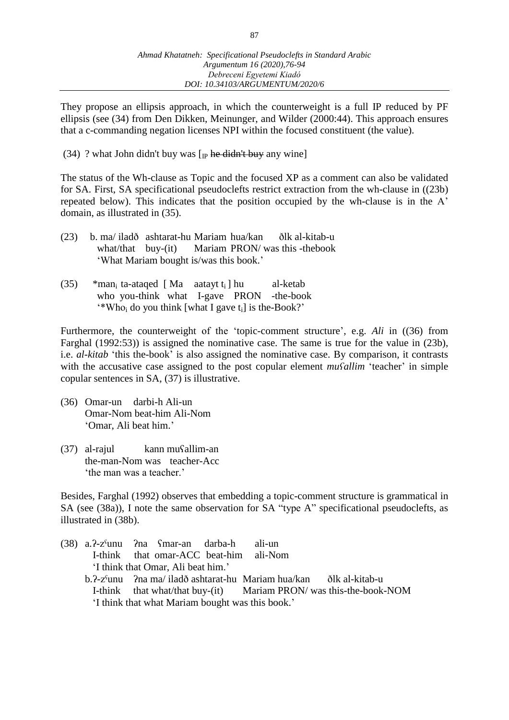They propose an ellipsis approach, in which the counterweight is a full IP reduced by PF ellipsis (see (34) from Den Dikken, Meinunger, and Wilder (2000:44). This approach ensures that a c-commanding negation licenses NPI within the focused constituent (the value).

(34) ? what John didn't buy was  $[p$  he didn't buy any wine

The status of the Wh-clause as Topic and the focused XP as a comment can also be validated for SA. First, SA specificational pseudoclefts restrict extraction from the wh-clause in ((23b) repeated below). This indicates that the position occupied by the wh-clause is in the A' domain, as illustrated in (35).

| (23)                                   |  |  |  |  | b. ma/ iladð ashtarat-hu Mariam hua/kan ðlk al-kitab-u |
|----------------------------------------|--|--|--|--|--------------------------------------------------------|
|                                        |  |  |  |  | what/that buy-(it) Mariam PRON/ was this -thebook      |
| 'What Mariam bought is/was this book.' |  |  |  |  |                                                        |

(35) \*man<sub>i</sub> ta-ataqed [Ma aatayt  $t_i$ ] hu al-ketab who you-think what I-gave PRON -the-book  $\cdot$ \*Who<sub>i</sub> do you think [what I gave t<sub>i</sub>] is the-Book?'

Furthermore, the counterweight of the 'topic-comment structure', e.g. *Ali* in ((36) from Farghal (1992:53)) is assigned the nominative case. The same is true for the value in (23b), i.e. *al-kitab* 'this the-book' is also assigned the nominative case. By comparison, it contrasts with the accusative case assigned to the post copular element *muSallim* 'teacher' in simple copular sentences in SA, (37) is illustrative.

- (36) Omar-un darbi-h Ali-un Omar-Nom beat-him Ali-Nom 'Omar, Ali beat him.'
- (37) al-rajul kann muʕallim-an the-man-Nom was teacher-Acc 'the man was a teacher.'

Besides, Farghal (1992) observes that embedding a topic-comment structure is grammatical in SA (see (38a)), I note the same observation for SA "type A" specificational pseudoclefts, as illustrated in (38b).

(38) a.ʔ-zˤunu ʔna ʕmar-an darba-h ali-un I-think that omar-ACC beat-him ali-Nom 'I think that Omar, Ali beat him.' b.ʔ-zˤunu ʔna ma/ ila[dð](https://en.wikipedia.org/wiki/Voiced_dental_fricative) ashtarat-hu Mariam hua/kan [ðl](https://en.wikipedia.org/wiki/Voiced_dental_fricative)k al-kitab-u I-think that what/that buy-(it) Mariam PRON/ was this-the-book-NOM 'I think that what Mariam bought was this book.'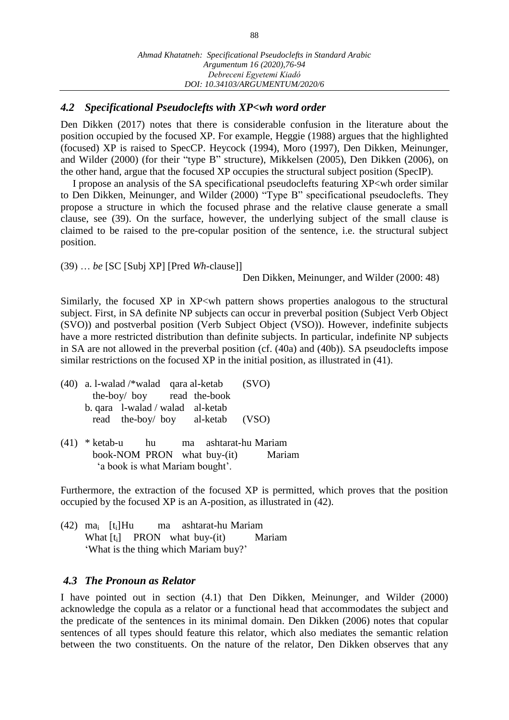## *4.2 Specificational Pseudoclefts with XP<wh word order*

Den Dikken (2017) notes that there is considerable confusion in the literature about the position occupied by the focused XP. For example, Heggie (1988) argues that the highlighted (focused) XP is raised to SpecCP. Heycock (1994), Moro (1997), Den Dikken, Meinunger, and Wilder (2000) (for their "type B" structure), Mikkelsen (2005), Den Dikken (2006), on the other hand, argue that the focused XP occupies the structural subject position (SpecIP).

I propose an analysis of the SA specificational pseudoclefts featuring XP<wh order similar to Den Dikken, Meinunger, and Wilder (2000) "Type B" specificational pseudoclefts. They propose a structure in which the focused phrase and the relative clause generate a small clause, see (39). On the surface, however, the underlying subject of the small clause is claimed to be raised to the pre-copular position of the sentence, i.e. the structural subject position.

(39) … *be* [SC [Subj XP] [Pred *Wh*-clause]]

Den Dikken, Meinunger, and Wilder (2000: 48)

Similarly, the focused XP in XP<wh pattern shows properties analogous to the structural subject. First, in SA definite NP subjects can occur in preverbal position (Subject Verb Object (SVO)) and postverbal position (Verb Subject Object (VSO)). However, indefinite subjects have a more restricted distribution than definite subjects. In particular, indefinite NP subjects in SA are not allowed in the preverbal position (cf. (40a) and (40b)). SA pseudoclefts impose similar restrictions on the focused XP in the initial position, as illustrated in (41).

- (40) a. l-walad /\*walad qara al-ketab (SVO) the-boy/ boy read the-book b. qara l-walad / walad al-ketab read the-boy/ boy al-ketab (VSO)
- (41) \* ketab-u hu ma ashtarat-hu Mariam book-NOM PRON what buy-(it) Mariam 'a book is what Mariam bought'.

Furthermore, the extraction of the focused XP is permitted, which proves that the position occupied by the focused XP is an A-position, as illustrated in (42).

(42) ma<sup>i</sup> [ti]Hu ma ashtarat-hu Mariam What  $[t_i]$  PRON what buy-(it) Mariam 'What is the thing which Mariam buy?'

#### *4.3 The Pronoun as Relator*

I have pointed out in section (4.1) that Den Dikken, Meinunger, and Wilder (2000) acknowledge the copula as a relator or a functional head that accommodates the subject and the predicate of the sentences in its minimal domain. Den Dikken (2006) notes that copular sentences of all types should feature this relator, which also mediates the semantic relation between the two constituents. On the nature of the relator, Den Dikken observes that any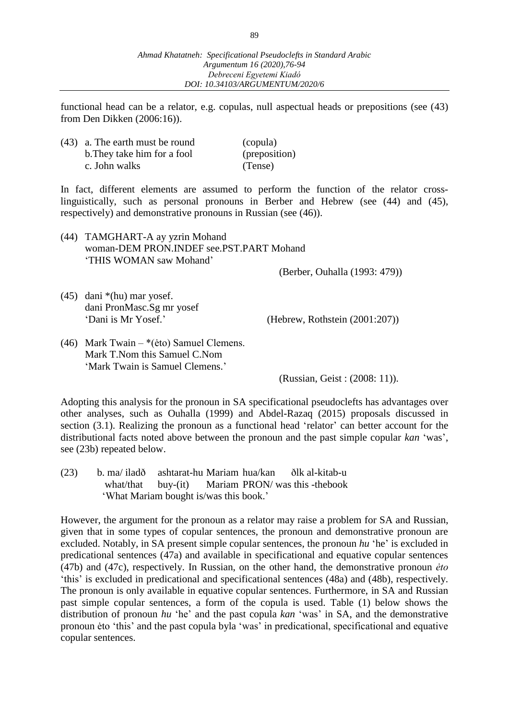functional head can be a relator, e.g. copulas, null aspectual heads or prepositions (see (43) from Den Dikken (2006:16)).

| $(43)$ a. The earth must be round | (copula)      |
|-----------------------------------|---------------|
| b. They take him for a fool       | (preposition) |
| c. John walks                     | (Tense)       |

In fact, different elements are assumed to perform the function of the relator crosslinguistically, such as personal pronouns in Berber and Hebrew (see (44) and (45), respectively) and demonstrative pronouns in Russian (see (46)).

(44) TAMGHART-A ay yzrin Mohand woman-DEM PRON.INDEF see.PST.PART Mohand 'THIS WOMAN saw Mohand'

(Berber, Ouhalla (1993: 479))

(45) dani \*(hu) mar yosef. dani PronMasc.Sg mr yosef

'Dani is Mr Yosef.' (Hebrew, Rothstein (2001:207))

(46) Mark Twain – \*(ėto) Samuel Clemens. Mark T.Nom this Samuel C.Nom 'Mark Twain is Samuel Clemens.'

(Russian, Geist : (2008: 11)).

Adopting this analysis for the pronoun in SA specificational pseudoclefts has advantages over other analyses, such as Ouhalla (1999) and Abdel-Razaq (2015) proposals discussed in section (3.1). Realizing the pronoun as a functional head 'relator' can better account for the distributional facts noted above between the pronoun and the past simple copular *kan* 'was', see (23b) repeated below.

(23) b. ma/ ila[dð](https://en.wikipedia.org/wiki/Voiced_dental_fricative) ashtarat-hu Mariam hua/kan [ðl](https://en.wikipedia.org/wiki/Voiced_dental_fricative)k al-kitab-u what/that buy-(it) Mariam PRON/ was this -thebook 'What Mariam bought is/was this book.'

However, the argument for the pronoun as a relator may raise a problem for SA and Russian, given that in some types of copular sentences, the pronoun and demonstrative pronoun are excluded. Notably, in SA present simple copular sentences, the pronoun *hu* 'he' is excluded in predicational sentences (47a) and available in specificational and equative copular sentences (47b) and (47c), respectively. In Russian, on the other hand, the demonstrative pronoun *ėto* 'this' is excluded in predicational and specificational sentences (48a) and (48b), respectively. The pronoun is only available in equative copular sentences. Furthermore, in SA and Russian past simple copular sentences, a form of the copula is used. Table (1) below shows the distribution of pronoun *hu* 'he' and the past copula *kan* 'was' in SA, and the demonstrative pronoun ėto 'this' and the past copula byla 'was' in predicational, specificational and equative copular sentences.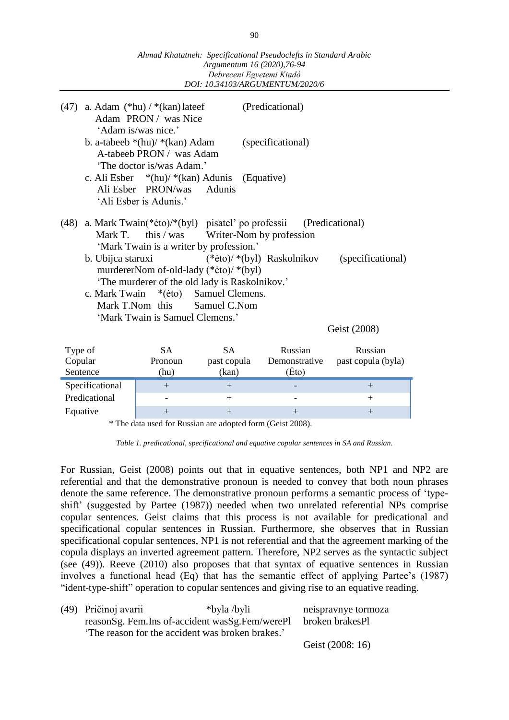|                                                                                                                                                                                                                                                                                                                                                                                                                              |                 |                                                                                              | Argumentum 10 (2020), 70-94<br>Debreceni Egyetemi Kiadó | DOI: 10.34103/ARGUMENTUM/2020/6   |                               |
|------------------------------------------------------------------------------------------------------------------------------------------------------------------------------------------------------------------------------------------------------------------------------------------------------------------------------------------------------------------------------------------------------------------------------|-----------------|----------------------------------------------------------------------------------------------|---------------------------------------------------------|-----------------------------------|-------------------------------|
| (47)                                                                                                                                                                                                                                                                                                                                                                                                                         |                 | a. Adam $(*hu) / *(kan)$ lateef<br>Adam PRON/ was Nice<br>'Adam is/was nice.'                |                                                         | (Predicational)                   |                               |
|                                                                                                                                                                                                                                                                                                                                                                                                                              |                 | b. a-tabeeb $*(hu)$ / $*(kan)$ Adam<br>A-tabeeb PRON / was Adam<br>'The doctor is/was Adam.' |                                                         | (specificational)                 |                               |
|                                                                                                                                                                                                                                                                                                                                                                                                                              |                 | c. Ali Esber $*(hu) / *(kan)$ Adunis<br>Ali Esber PRON/was<br>'Ali Esber is Adunis.'         | <b>Adunis</b>                                           | (Equative)                        |                               |
| a. Mark Twain(*eto)/*(byl) pisatel' po professii<br>(Predicational)<br>(48)<br>Mark T.<br>this $\prime$ was<br>Writer-Nom by profession<br>'Mark Twain is a writer by profession.'<br>$(*eto)/*(byl)$ Raskolnikov<br>b. Ubijca staruxi<br>murdererNom of-old-lady (*eto)/ *(byl)<br>'The murderer of the old lady is Raskolnikov.'<br>c. Mark Twain<br>Samuel Clemens.<br>$*(\text{eto})$<br>Mark T.Nom this<br>Samuel C.Nom |                 |                                                                                              |                                                         | (specificational)                 |                               |
|                                                                                                                                                                                                                                                                                                                                                                                                                              |                 | 'Mark Twain is Samuel Clemens.'                                                              |                                                         |                                   | Geist (2008)                  |
| Type of<br>Copular<br>Sentence                                                                                                                                                                                                                                                                                                                                                                                               |                 | <b>SA</b><br>Pronoun<br>(hu)                                                                 | <b>SA</b><br>past copula<br>(kan)                       | Russian<br>Demonstrative<br>(Eto) | Russian<br>past copula (byla) |
|                                                                                                                                                                                                                                                                                                                                                                                                                              | Specificational | $+$                                                                                          | $+$                                                     |                                   | $+$                           |
|                                                                                                                                                                                                                                                                                                                                                                                                                              | Predicational   |                                                                                              | $+$                                                     |                                   | $^{+}$                        |
| Equative                                                                                                                                                                                                                                                                                                                                                                                                                     |                 | $+$                                                                                          | $+$                                                     | $+$                               | $^{+}$                        |

*Ahmad Khatatneh: Specificational Pseudoclefts in Standard Arabic Argumentum 16 (2020),76-94*

\* The data used for Russian are adopted form (Geist 2008).

*Table 1. predicational, specificational and equative copular sentences in SA and Russian.*

For Russian, Geist (2008) points out that in equative sentences, both NP1 and NP2 are referential and that the demonstrative pronoun is needed to convey that both noun phrases denote the same reference. The demonstrative pronoun performs a semantic process of 'typeshift' (suggested by Partee (1987)) needed when two unrelated referential NPs comprise copular sentences. Geist claims that this process is not available for predicational and specificational copular sentences in Russian. Furthermore, she observes that in Russian specificational copular sentences, NP1 is not referential and that the agreement marking of the copula displays an inverted agreement pattern. Therefore, NP2 serves as the syntactic subject (see (49)). Reeve (2010) also proposes that that syntax of equative sentences in Russian involves a functional head (Eq) that has the semantic effect of applying Partee's (1987) "ident-type-shift" operation to copular sentences and giving rise to an equative reading.

| (49) Pričinoj avarii | *byla /byli                                                    | neispravnye tormoza |
|----------------------|----------------------------------------------------------------|---------------------|
|                      | reasonSg. Fem.Ins of-accident wasSg.Fem/werePl broken brakesPl |                     |
|                      | The reason for the accident was broken brakes.'                |                     |
|                      |                                                                | Geist (2008: 16)    |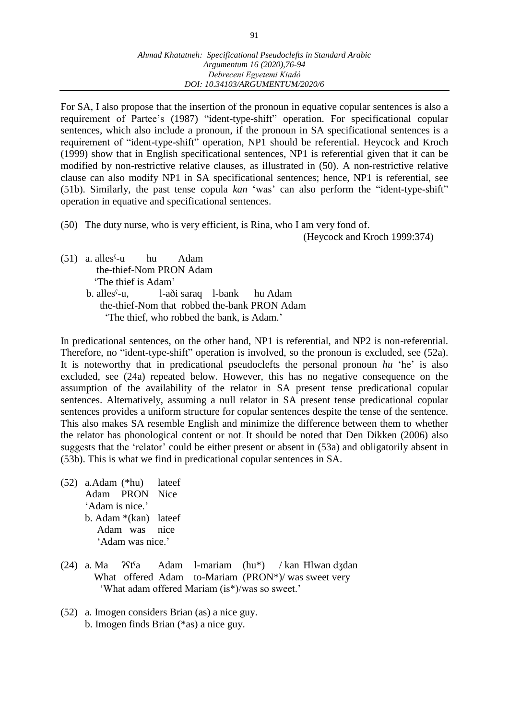For SA, I also propose that the insertion of the pronoun in equative copular sentences is also a requirement of Partee's (1987) "ident-type-shift" operation. For specificational copular sentences, which also include a pronoun, if the pronoun in SA specificational sentences is a requirement of "ident-type-shift" operation, NP1 should be referential. Heycock and Kroch (1999) show that in English specificational sentences, NP1 is referential given that it can be modified by non-restrictive relative clauses, as illustrated in (50). A non-restrictive relative clause can also modify NP1 in SA specificational sentences; hence, NP1 is referential, see (51b). Similarly, the past tense copula *kan* 'was' can also perform the "ident-type-shift" operation in equative and specificational sentences.

(50) The duty nurse, who is very efficient, is Rina, who I am very fond of.

(Heycock and Kroch 1999:374)

(51) a. allesˤ-u hu Adam the-thief-Nom PRON Adam 'The thief is Adam' b. allesˤ-u, l-[aði](https://en.wikipedia.org/wiki/Voiced_dental_fricative) saraq l-bank hu Adam the-thief-Nom that robbed the-bank PRON Adam 'The thief, who robbed the bank, is Adam.'

In predicational sentences, on the other hand, NP1 is referential, and NP2 is non-referential. Therefore, no "ident-type-shift" operation is involved, so the pronoun is excluded, see (52a). It is noteworthy that in predicational pseudoclefts the personal pronoun *hu* 'he' is also excluded, see (24a) repeated below. However, this has no negative consequence on the assumption of the availability of the relator in SA present tense predicational copular sentences. Alternatively, assuming a null relator in SA present tense predicational copular sentences provides a uniform structure for copular sentences despite the tense of the sentence. This also makes SA resemble English and minimize the difference between them to whether the relator has phonological content or not. It should be noted that Den Dikken (2006) also suggests that the 'relator' could be either present or absent in (53a) and obligatorily absent in (53b). This is what we find in predicational copular sentences in SA.

(52) a.Adam (\*hu) lateef Adam PRON Nice 'Adam is nice.' b. Adam \*(kan) lateef Adam was nice 'Adam was nice.'

- (24) a. Ma ʔʕtˤa Adam l-mariam (hu\*) / kan Ħlwan dʒdan What offered Adam to-Mariam (PRON\*)/ was sweet very 'What adam offered Mariam (is\*)/was so sweet.'
- (52) a. Imogen considers Brian (as) a nice guy. b. Imogen finds Brian (\*as) a nice guy.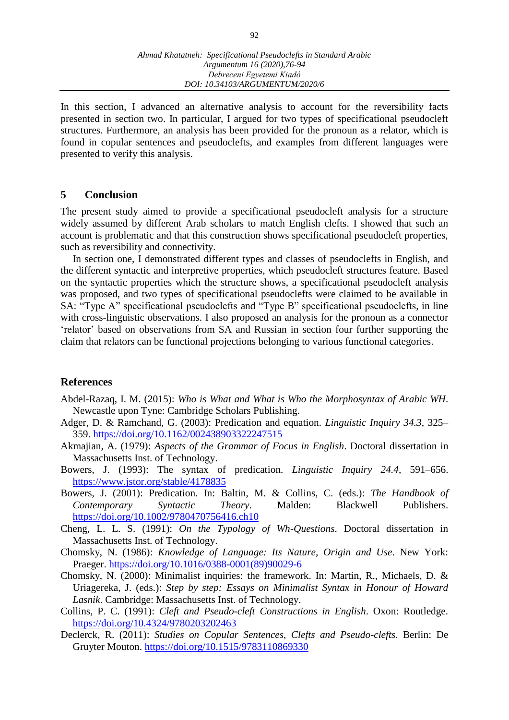In this section, I advanced an alternative analysis to account for the reversibility facts presented in section two. In particular, I argued for two types of specificational pseudocleft structures. Furthermore, an analysis has been provided for the pronoun as a relator, which is found in copular sentences and pseudoclefts, and examples from different languages were presented to verify this analysis.

#### **5 Conclusion**

The present study aimed to provide a specificational pseudocleft analysis for a structure widely assumed by different Arab scholars to match English clefts. I showed that such an account is problematic and that this construction shows specificational pseudocleft properties, such as reversibility and connectivity.

In section one, I demonstrated different types and classes of pseudoclefts in English, and the different syntactic and interpretive properties, which pseudocleft structures feature. Based on the syntactic properties which the structure shows, a specificational pseudocleft analysis was proposed, and two types of specificational pseudoclefts were claimed to be available in SA: "Type A" specificational pseudoclefts and "Type B" specificational pseudoclefts, in line with cross-linguistic observations. I also proposed an analysis for the pronoun as a connector 'relator' based on observations from SA and Russian in section four further supporting the claim that relators can be functional projections belonging to various functional categories.

#### **References**

- Abdel-Razaq, I. M. (2015): *Who is What and What is Who the Morphosyntax of Arabic WH*. Newcastle upon Tyne: Cambridge Scholars Publishing.
- Adger, D. & Ramchand, G. (2003): Predication and equation. *Linguistic Inquiry 34.3*, 325– 359. <https://doi.org/10.1162/002438903322247515>
- Akmajian, A. (1979): *Aspects of the Grammar of Focus in English*. Doctoral dissertation in Massachusetts Inst. of Technology.
- Bowers, J. (1993): The syntax of predication. *Linguistic Inquiry 24.4*, 591–656. <https://www.jstor.org/stable/4178835>
- Bowers, J. (2001): Predication. In: Baltin, M. & Collins, C. (eds.): *The Handbook of Contemporary Syntactic Theory*. Malden: Blackwell Publishers. <https://doi.org/10.1002/9780470756416.ch10>
- Cheng, L. L. S. (1991): *On the Typology of Wh-Questions*. Doctoral dissertation in Massachusetts Inst. of Technology.
- Chomsky, N. (1986): *Knowledge of Language: Its Nature, Origin and Use*. New York: Praeger. [https://doi.org/10.1016/0388-0001\(89\)90029-6](https://doi.org/10.1016/0388-0001(89)90029-6)
- Chomsky, N. (2000): Minimalist inquiries: the framework. In: Martin, R., Michaels, D. & Uriagereka, J. (eds.): *Step by step: Essays on Minimalist Syntax in Honour of Howard Lasnik*. Cambridge: Massachusetts Inst. of Technology.
- Collins, P. C. (1991): *Cleft and Pseudo-cleft Constructions in English*. Oxon: Routledge. <https://doi.org/10.4324/9780203202463>
- Declerck, R. (2011): *Studies on Copular Sentences, Clefts and Pseudo-clefts*. Berlin: De Gruyter Mouton. <https://doi.org/10.1515/9783110869330>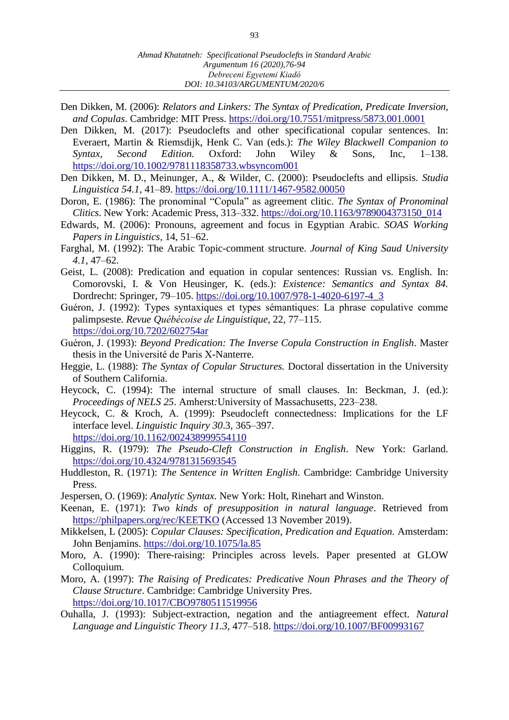- Den Dikken, M. (2006): *Relators and Linkers: The Syntax of Predication, Predicate Inversion, and Copulas*. Cambridge: MIT Press.<https://doi.org/10.7551/mitpress/5873.001.0001>
- Den Dikken, M. (2017): Pseudoclefts and other specificational copular sentences. In: Everaert, Martin & Riemsdijk, Henk C. Van (eds.): *The Wiley Blackwell Companion to Syntax, Second Edition.* Oxford: John Wiley & Sons, Inc, 1–138. <https://doi.org/10.1002/9781118358733.wbsyncom001>
- Den Dikken, M. D., Meinunger, A., & Wilder, C. (2000): Pseudoclefts and ellipsis. *Studia Linguistica 54.1*, 41–89. <https://doi.org/10.1111/1467-9582.00050>
- Doron, E. (1986): The pronominal "Copula" as agreement clitic. *The Syntax of Pronominal Clitics*. New York: Academic Press, 313–332. [https://doi.org/10.1163/9789004373150\\_014](https://doi.org/10.1163/9789004373150_014)
- Edwards, M. (2006): Pronouns, agreement and focus in Egyptian Arabic. *SOAS Working Papers in Linguistics,* 14, 51–62.
- Farghal, M. (1992): The Arabic Topic-comment structure. *Journal of King Saud University 4.1*, 47–62.
- Geist, L. (2008): Predication and equation in copular sentences: Russian vs. English. In: Comorovski, I. & Von Heusinger, K. (eds.): *Existence: Semantics and Syntax 84.*  Dordrecht: Springer, 79–105. [https://doi.org/10.1007/978-1-4020-6197-4\\_3](https://doi.org/10.1007/978-1-4020-6197-4_3)
- Guéron, J. (1992): Types syntaxiques et types sémantiques: La phrase copulative comme palimpseste. *Revue Québécoise de Linguistique*, 22, 77–115. <https://doi.org/10.7202/602754ar>
- Guéron, J. (1993): *Beyond Predication: The Inverse Copula Construction in English*. Master thesis in the Université de Paris X-Nanterre.
- Heggie, L. (1988): *The Syntax of Copular Structures.* Doctoral dissertation in the University of Southern California.
- Heycock, C. (1994): The internal structure of small clauses. In: Beckman, J. (ed.): *Proceedings of NELS 25*. Amherst*:*University of Massachusetts, 223–238.
- Heycock, C. & Kroch, A. (1999): Pseudocleft connectedness: Implications for the LF interface level. *Linguistic Inquiry 30*.3, 365–397. <https://doi.org/10.1162/002438999554110>
- Higgins, R. (1979): *The Pseudo-Cleft Construction in English*. New York: Garland. <https://doi.org/10.4324/9781315693545>
- Huddleston, R. (1971): *The Sentence in Written English*. Cambridge: Cambridge University Press.
- Jespersen, O. (1969): *Analytic Syntax.* New York: Holt, Rinehart and Winston.
- Keenan, E. (1971): *Two kinds of presupposition in natural language*. Retrieved from <https://philpapers.org/rec/KEETKO> (Accessed 13 November 2019).
- Mikkelsen, L (2005): *Copular Clauses: Specification, Predication and Equation.* Amsterdam: John Benjamins. <https://doi.org/10.1075/la.85>
- Moro, A. (1990): There-raising: Principles across levels. Paper presented at GLOW Colloquium*.*
- Moro, A. (1997): *The Raising of Predicates: Predicative Noun Phrases and the Theory of Clause Structure*. Cambridge: Cambridge University Pres. <https://doi.org/10.1017/CBO9780511519956>
- Ouhalla, J. (1993): Subject-extraction, negation and the antiagreement effect. *Natural Language and Linguistic Theory 11.3*, 477–518.<https://doi.org/10.1007/BF00993167>